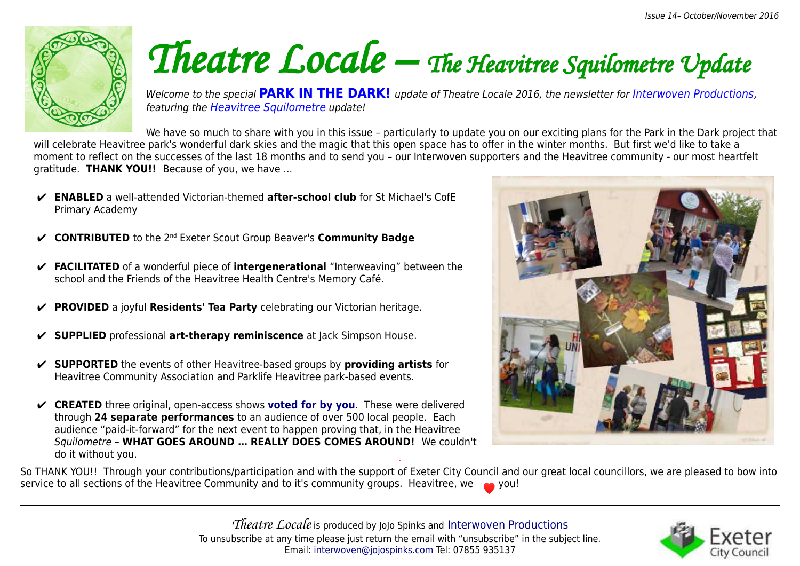

# *Theatre Locale – The Heavitree Squilometre Update*

Welcome to the special **PARK IN THE DARK!** update of Theatre Locale 2016, the newsletter for Interwoven Productions, featuring the Heavitree Squilometre update!

We have so much to share with you in this issue - particularly to update you on our exciting plans for the Park in the Dark project that will celebrate Heavitree park's wonderful dark skies and the magic that this open space has to offer in the winter months. But first we'd like to take a moment to reflect on the successes of the last 18 months and to send you – our Interwoven supporters and the Heavitree community - our most heartfelt gratitude. **THANK YOU!!** Because of you, we have ...

- ✔ **ENABLED** a well-attended Victorian-themed **after-school club** for St Michael's CofE Primary Academy
- ✔ **CONTRIBUTED** to the 2nd Exeter Scout Group Beaver's **Community Badge**
- ✔ **FACILITATED** of a wonderful piece of **intergenerational** "Interweaving" between the school and the Friends of the Heavitree Health Centre's Memory Café.
- ✔ **PROVIDED** a joyful **Residents' Tea Party** celebrating our Victorian heritage.
- ✔ **SUPPLIED** professional **art-therapy reminiscence** at Jack Simpson House.
- ✔ **SUPPORTED** the events of other Heavitree-based groups by **providing artists** for Heavitree Community Association and Parklife Heavitree park-based events.
- ✔ **CREATED** three original, open-access shows **[voted for by you](http://interwovenproductions.jojospinks.com/where-next---you-choose.html)**. These were delivered through **24 separate performances** to an audience of over 500 local people. Each audience "paid-it-forward" for the next event to happen proving that, in the Heavitree Squilometre – **WHAT GOES AROUND … REALLY DOES COMES AROUND!** We couldn't do it without you.



So THANK YOU!! Through your contributions/participation and with the support of Exeter City Council and our great local councillors, we are pleased to bow into service to all sections of the Heavitree Community and to it's community groups. Heavitree, we a you!

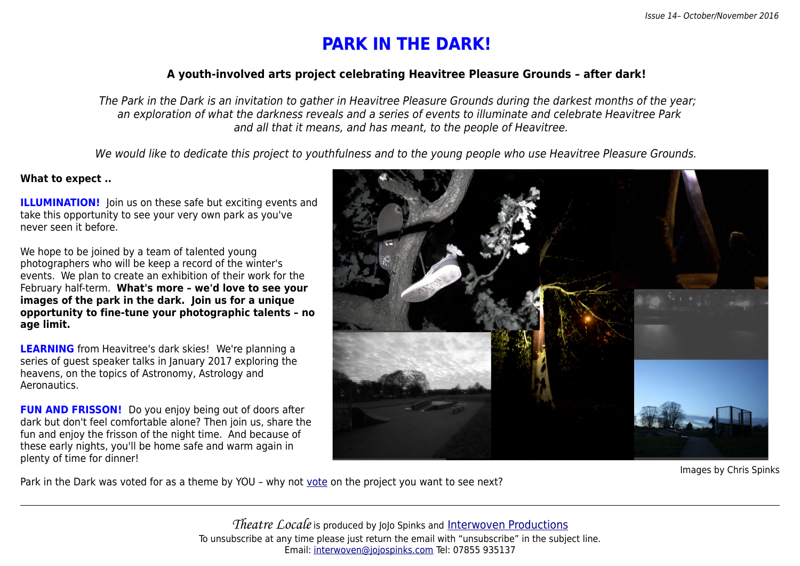## **PARK IN THE DARK!**

#### **A youth-involved arts project celebrating Heavitree Pleasure Grounds – after dark!**

The Park in the Dark is an invitation to gather in Heavitree Pleasure Grounds during the darkest months of the year; an exploration of what the darkness reveals and a series of events to illuminate and celebrate Heavitree Park and all that it means, and has meant, to the people of Heavitree.

We would like to dedicate this project to youthfulness and to the young people who use Heavitree Pleasure Grounds.

#### **What to expect ..**

**ILLUMINATION!** Join us on these safe but exciting events and take this opportunity to see your very own park as you've never seen it before.

We hope to be joined by a team of talented young photographers who will be keep a record of the winter's events. We plan to create an exhibition of their work for the February half-term. **What's more – we'd love to see your images of the park in the dark. Join us for a unique opportunity to fine-tune your photographic talents – no age limit.**

**LEARNING** from Heavitree's dark skies!We're planning a series of guest speaker talks in January 2017 exploring the heavens, on the topics of Astronomy, Astrology and Aeronautics.

**FUN AND FRISSON!** Do you enjoy being out of doors after dark but don't feel comfortable alone? Then join us, share the fun and enjoy the frisson of the night time. And because of these early nights, you'll be home safe and warm again in plenty of time for dinner!



Images by Chris Spinks

Park in the Dark was voted for as a theme by YOU – why not [vote](http://interwovenproductions.jojospinks.com/where-next---you-choose.html) on the project you want to see next?